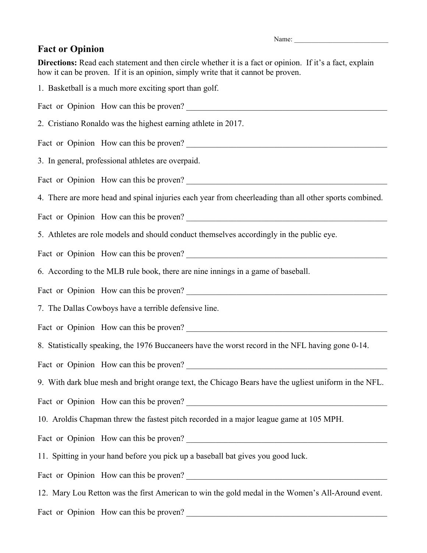Name:

## **Fact or Opinion**

**Directions:** Read each statement and then circle whether it is a fact or opinion. If it's a fact, explain how it can be proven. If it is an opinion, simply write that it cannot be proven.

1. Basketball is a much more exciting sport than golf. Fact or Opinion How can this be proven? 2. Cristiano Ronaldo was the highest earning athlete in 2017. Fact or Opinion How can this be proven? 3. In general, professional athletes are overpaid. Fact or Opinion How can this be proven? \_\_\_\_\_\_\_\_\_\_\_\_\_\_\_\_\_\_\_\_\_\_\_\_\_\_\_\_\_\_\_\_\_\_\_\_\_\_\_\_\_\_\_\_\_\_\_\_ 4. There are more head and spinal injuries each year from cheerleading than all other sports combined. Fact or Opinion How can this be proven? 5. Athletes are role models and should conduct themselves accordingly in the public eye. Fact or Opinion How can this be proven? 6. According to the MLB rule book, there are nine innings in a game of baseball. Fact or Opinion How can this be proven? 7. The Dallas Cowboys have a terrible defensive line. Fact or Opinion How can this be proven? 8. Statistically speaking, the 1976 Buccaneers have the worst record in the NFL having gone 0-14. Fact or Opinion How can this be proven? 9. With dark blue mesh and bright orange text, the Chicago Bears have the ugliest uniform in the NFL. Fact or Opinion How can this be proven? 10. Aroldis Chapman threw the fastest pitch recorded in a major league game at 105 MPH. Fact or Opinion How can this be proven? 11. Spitting in your hand before you pick up a baseball bat gives you good luck. Fact or Opinion How can this be proven? 12. Mary Lou Retton was the first American to win the gold medal in the Women's All-Around event. Fact or Opinion How can this be proven?